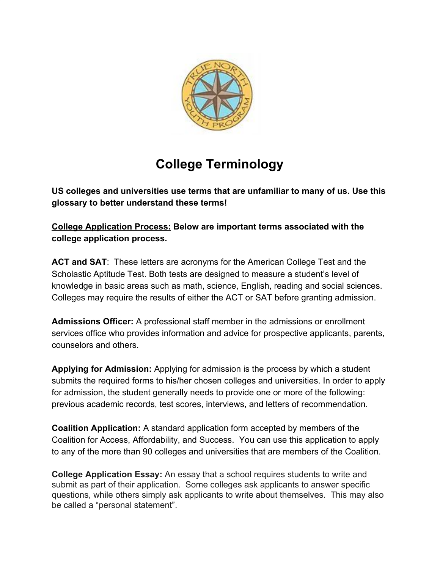

## **College Terminology**

**US colleges and universities use terms that are unfamiliar to many of us. Use this glossary to better understand these terms!**

**College Application Process: Below are important terms associated with the college application process.**

**ACT and SAT**: These letters are acronyms for the American College Test and the Scholastic Aptitude Test. Both tests are designed to measure a student's level of knowledge in basic areas such as math, science, English, reading and social sciences. Colleges may require the results of either the ACT or SAT before granting admission.

**Admissions Officer:** A professional staff member in the admissions or enrollment services office who provides information and advice for prospective applicants, parents, counselors and others.

**Applying for Admission:** Applying for admission is the process by which a student submits the required forms to his/her chosen colleges and universities. In order to apply for admission, the student generally needs to provide one or more of the following: previous academic records, test scores, interviews, and letters of recommendation.

**Coalition Application:** A standard application form accepted by members of the Coalition for Access, Affordability, and Success. You can use this application to apply to any of the more than 90 colleges and universities that are members of the Coalition.

**College Application Essay:** An essay that a school requires students to write and submit as part of their application. Some colleges ask applicants to answer specific questions, while others simply ask applicants to write about themselves. This may also be called a "personal statement".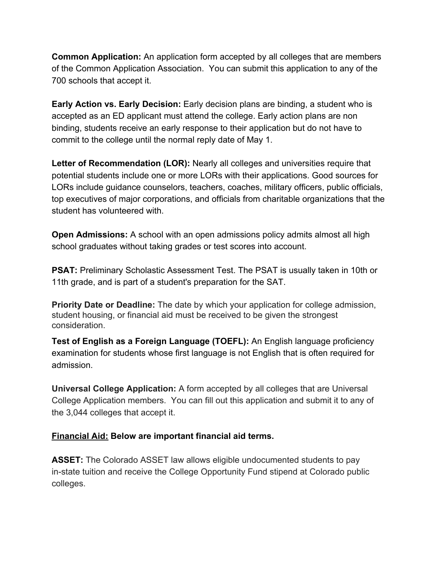**Common Application:** An application form accepted by all colleges that are members of the Common Application Association. You can submit this application to any of the 700 schools that accept it.

**Early Action vs. Early Decision:** Early decision plans are binding, a student who is accepted as an ED applicant must attend the college. Early action plans are non binding, students receive an early response to their application but do not have to commit to the college until the normal reply date of May 1.

**Letter of Recommendation (LOR):** Nearly all colleges and universities require that potential students include one or more LORs with their applications. Good sources for LORs include guidance counselors, teachers, coaches, military officers, public officials, top executives of major corporations, and officials from charitable organizations that the student has volunteered with.

**Open Admissions:** A school with an open admissions policy admits almost all high school graduates without taking grades or test scores into account.

**PSAT:** Preliminary Scholastic Assessment Test. The PSAT is usually taken in 10th or 11th grade, and is part of a student's preparation for the SAT.

**Priority Date or Deadline:** The date by which your application for college admission, student housing, or financial aid must be received to be given the strongest consideration.

**Test of English as a Foreign Language (TOEFL):** An English language proficiency examination for students whose first language is not English that is often required for admission.

**Universal College Application:** A form accepted by all colleges that are Universal College Application members. You can fill out this application and submit it to any of the 3,044 colleges that accept it.

## **Financial Aid: Below are important financial aid terms.**

**ASSET:** The Colorado ASSET law allows eligible undocumented students to pay in-state tuition and receive the College Opportunity Fund stipend at Colorado public colleges.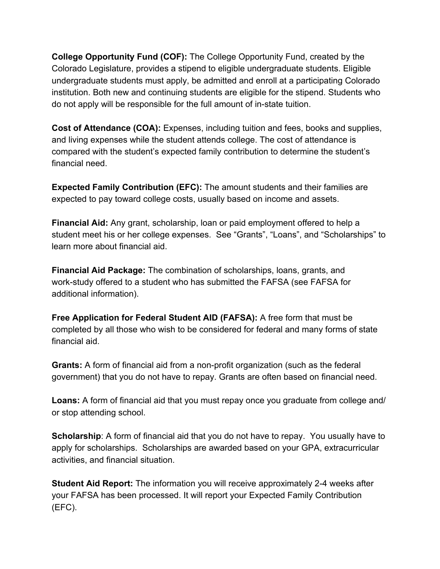**College Opportunity Fund (COF):** The [C](https://cof.college-assist.org/)ollege Opportunity Fund, created by the Colorado Legislature, provides [a](https://content.xap.com/media/31972/cof_chart_2018-19.pdf) stipend t[o eligible](https://cof.college-assist.org/Home/Faq#public-college-eligibility-requirements) undergraduate students. Eligible undergraduate students must apply, be admitted and enroll at a participating Colorado institution. Both new and continuing students are eligible for the stipend. Students who do not apply will be responsible for the full amount of in-state tuition.

**Cost of Attendance (COA):** Expenses, including tuition and fees, books and supplies, and living expenses while the student attends college. The cost of attendance is compared with the student's expected family contribution to determine the student's financial need.

**Expected Family Contribution (EFC):** The amount students and their families are expected to pay toward college costs, usually based on income and assets.

**Financial Aid:** Any grant, scholarship, loan or paid employment offered to help a student meet his or her college expenses. See "Grants", "Loans", and "Scholarships" to learn more about financial aid.

**Financial Aid Package:** The combination of scholarships, loans, grants, and work-study offered to a student who has submitted the FAFSA (see FAFSA for additional information).

**Free Application for Federal Student AID (FAFSA):** A free form that must be completed by all those who wish to be considered for federal and many forms of state financial aid.

**Grants:** A form of financial aid from a non-profit organization (such as the federal government) that you do not have to repay. Grants are often based on financial need.

**Loans:** A form of financial aid that you must repay once you graduate from college and/ or stop attending school.

**Scholarship**: A form of financial aid that you do not have to repay. You usually have to apply for scholarships. Scholarships are awarded based on your GPA, extracurricular activities, and financial situation.

**Student Aid Report:** The information you will receive approximately 2-4 weeks after your FAFSA has been processed. It will report your Expected Family Contribution (EFC).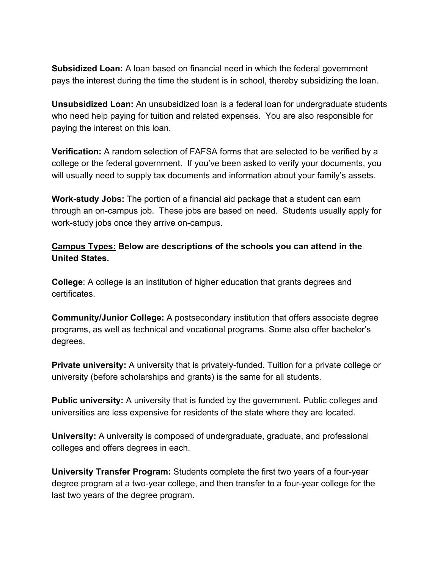**Subsidized Loan:** A loan based on financial need in which the federal government pays the interest during the time the student is in school, thereby subsidizing the loan.

**Unsubsidized Loan:** An unsubsidized loan is a federal loan for undergraduate students who need help paying for tuition and related expenses. You are also responsible for paying the interest on this loan.

**Verification:** A random selection of FAFSA forms that are selected to be verified by a college or the federal government. If you've been asked to verify your documents, you will usually need to supply tax documents and information about your family's assets.

**Work-study Jobs:** The portion of a financial aid package that a student can earn through an on-campus job. These jobs are based on need. Students usually apply for work-study jobs once they arrive on-campus.

## **Campus Types: Below are descriptions of the schools you can attend in the United States.**

**College**: A college is an institution of higher education that grants degrees and certificates.

**Community/Junior College:** A postsecondary institution that offers associate degree programs, as well as technical and vocational programs. Some also offer bachelor's degrees.

**Private university:** A university that is privately-funded. Tuition for a [private college or](https://www.universitylanguage.com/guides/private-colleges-in-the-us/) [university](https://www.universitylanguage.com/guides/private-colleges-in-the-us/) (before scholarships and grants) is the same for all students.

**Public university:** A university that is funded by the government[. Public colleges and](https://www.universitylanguage.com/guides/public-colleges-in-the-us/) [universities](https://www.universitylanguage.com/guides/public-colleges-in-the-us/) are less expensive for residents of the state where they are located.

**University:** A university is composed of undergraduate, graduate, and professional colleges and offers degrees in each.

**University Transfer Program:** Students complete the first two years of a four-year degree program at a two-year college, and then transfer to a four-year college for the last two years of the degree program.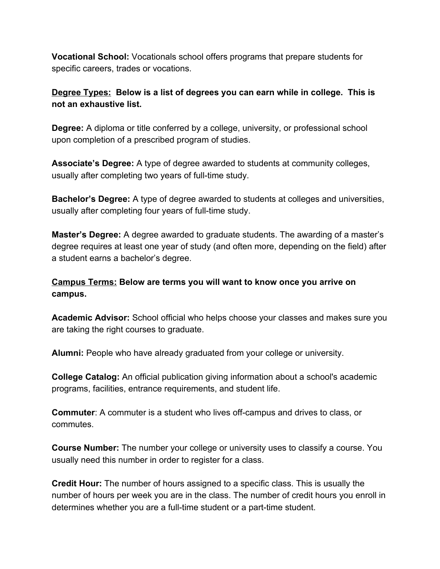**Vocational School:** Vocationals school offers programs that prepare students for specific careers, trades or vocations.

**Degree Types: Below is a list of degrees you can earn while in college. This is not an exhaustive list.**

**Degree:** A diploma or title conferred by a college, university, or professional school upon completion of a prescribed program of studies.

**Associate's Degree:** A type of degree awarded to students at community colleges, usually after completing two years of full-time study.

**Bachelor's Degree:** A type of degree awarded to students at colleges and universities, usually after completing four years of full-time study.

**Master's Degree:** A degree awarded to graduate students. The awarding of [a master's](https://www.universitylanguage.com/guides/getting-a-us-masters-degree/) [degree](https://www.universitylanguage.com/guides/getting-a-us-masters-degree/) requires at least one year of study (and often more, depending on the field) after a student earns a bachelor's degree.

**Campus Terms: Below are terms you will want to know once you arrive on campus.**

**Academic Advisor:** School official who helps choose your classes and makes sure you are taking the right courses to graduate.

**Alumni:** People who have already graduated from your college or university.

**College Catalog:** An official publication giving information about a school's academic programs, facilities, entrance requirements, and student life.

**Commuter**: A commuter is a student who lives off-campus and drives to class, or commutes.

**Course Number:** The number your college or university uses to classify a course. You usually need this number in order to register for a class.

**Credit Hour:** The number of hours assigned to a specific class. This is usually the number of hours per week you are in the class. The number of credit hours you enroll in determines whether you are a full-time student or a part-time student.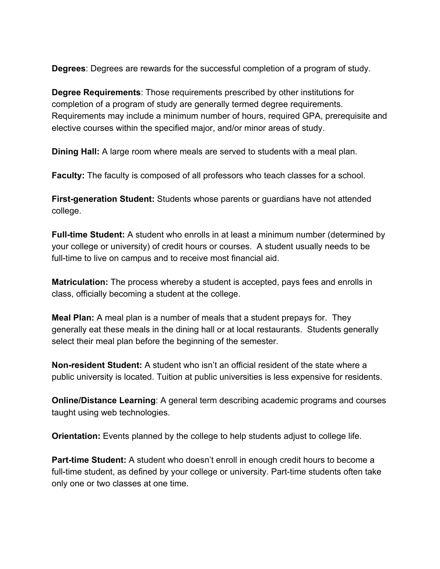**Degrees**: Degrees are rewards for the successful completion of a program of study.

**Degree Requirements**: Those requirements prescribed by other institutions for completion of a program of study are generally termed degree requirements. Requirements may include a minimum number of hours, required GPA, prerequisite and elective courses within the specified major, and/or minor areas of study.

**Dining Hall:** A large room where meals are served to students with a meal plan.

**Faculty:** The faculty is composed of all professors who teach classes for a school.

**First-generation Student:** Students whose parents or guardians have not attended college.

**Full-time Student:** A student who enrolls in at least a minimum number (determined by your college or university) of credit hours or courses. A student usually needs to be full-time to live on campus and to receive most financial aid.

**Matriculation:** The process whereby a student is accepted, pays fees and enrolls in class, officially becoming a student at the college.

**Meal Plan:** A meal plan is a number of meals that a student prepays for. They generally eat these meals in the dining hall or at local restaurants. Students generally select their meal plan before the beginning of the semester.

**Non-resident Student:** A student who isn't an official resident of the state where a public university is located. Tuition at public universities is less expensive for residents.

**Online/Distance Learning**: A general term describing academic programs and courses taught using web technologies.

**Orientation:** Events planned by the college to help students adjust to college life.

**Part-time Student:** A student who doesn't enroll in enough credit hours to become a full-time student, as defined by your college or university. Part-time students often take only one or two classes at one time.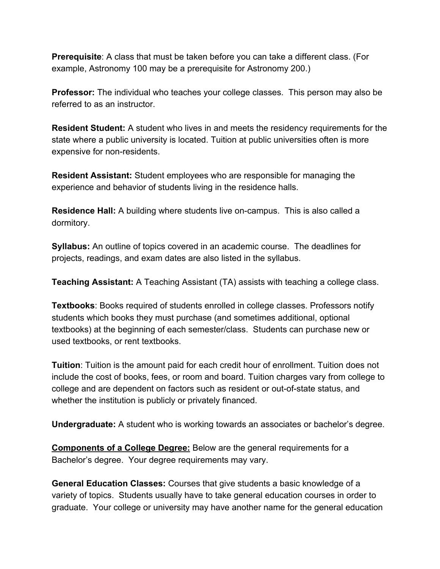**Prerequisite**: A class that must be taken before you can take a different class. (For example, Astronomy 100 may be a prerequisite for Astronomy 200.)

**Professor:** The individual who teaches your college classes. This person may also be referred to as an instructor.

**Resident Student:** A student who lives in and meets the residency requirements for the state where a public university is located. Tuition at public universities often is more expensive for non-residents.

**Resident Assistant:** Student employees who are responsible for managing the experience and behavior of students living in the residence halls.

**Residence Hall:** A building where students live on-campus. This is also called a dormitory.

**Syllabus:** An outline of topics covered in an academic course. The deadlines for projects, readings, and exam dates are also listed in the syllabus.

**Teaching Assistant:** A Teaching Assistant (TA) assists with teaching a college class.

**Textbooks**: Books required of students enrolled in college classes. Professors notify students which books they must purchase (and sometimes additional, optional textbooks) at the beginning of each semester/class. Students can purchase new or used textbooks, or rent textbooks.

**Tuition**: Tuition is the amount paid for each credit hour of enrollment. Tuition does not include the cost of books, fees, or room and board. Tuition charges vary from college to college and are dependent on factors such as resident or out-of-state status, and whether the institution is publicly or privately financed.

**Undergraduate:** A student who is working towards an associates or bachelor's degree.

**Components of a College Degree:** Below are the general requirements for a Bachelor's degree. Your degree requirements may vary.

**General Education Classes:** Courses that give students a basic knowledge of a variety of topics. Students usually have to take general education courses in order to graduate. Your college or university may have another name for the general education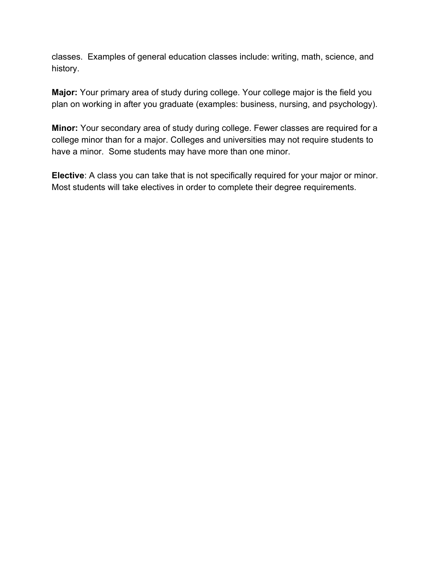classes. Examples of general education classes include: writing, math, science, and history.

**Major:** Your primary area of study during college. Your college major is the field you plan on working in after you graduate (examples: business, nursing, and psychology).

**Minor:** Your secondary area of study during college. Fewer classes are required for a [college minor](https://www.universitylanguage.com/guides/how-to-choose-a-college-minor/) than for a major. Colleges and universities may not require students to have a minor. Some students may have more than one minor.

**Elective**: A class you can take that is not specifically required for your major or minor. Most students will take electives in order to complete their degree requirements.